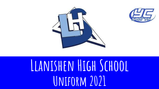



## **Llanishen High School Uniform 2021**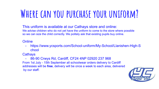### **Where can you purchase your uniform?**

This uniform is available at our Cathays store and online: We advise children who do not yet have the uniform to come to the store where possible so we can size the child correctly. We politely ask that existing pupils buy online.

### **Online**

https://www.ycsports.com/School-uniform/My-School/Llanishen-High-S chool

**Cathays** 

- 86-90 Crwys Rd, Cardiff, CF24 4NP 02920 237 968 From 1st July - 15th September all schoolwear orders delivery to Cardiff addresses will be **free**, delivery will be once a week to each area, delivered by our staff.

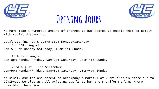

### **Opening Hours**



We have made a numerous amount of changes to our stores to enable them to comply with social distancing.

Usual opening hours 9am-5:30pm Monday-Saturday

- 8th-15th August

9am-5.30pm Monday-Saturday, 10am-4pm Sunday

- 16th-22nd August 9am-8pm Monday-Friday, 9am-6pm Saturday, 10am-4pm Sunday

- 23rd August - 5th September 9am-9pm Monday-Friday, 9am-8pm Saturday, 10am-4pm Sunday

We kindly ask for one parent to accompany a maximum of 2 children in store due to COVID-19. We also ask all existing pupils to buy their uniform online where possible. Thank you.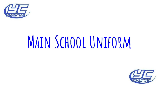

# **Main School Uniform**

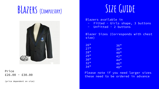### **BLazers (Compulsory)**



### Price  $£26.00 - £30.00$

(price dependent on size)

### **Size Guide**

Blazers available in

- Fitted Girls shape, 3 buttons
- Unfitted 2 buttons

Blazer Sizes (Corresponds with chest size)

| 26"    | 36" |
|--------|-----|
| 27     | 38" |
| 28     | 40" |
| 29     | 42  |
| 30"    | 44" |
| 32"    | 46" |
| $34$ " | 48" |

Please note if you need larger sizes these need to be ordered in advance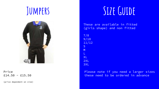

### Price  $£14.50 - £15.50$

(price dependent on size)

### **Jumpers Size Guide**

These are available in fitted (girls shape) and non fitted

7/8 9/10 11/12 S M L XL 2XL 3XL

> Please note if you need a larger sizes these need to be ordered in advance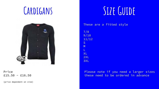

Price  $£15.50 - £16.50$ 

(price dependent on size)

### CARDIGANS SIZE GUIDE

These are a fitted style

7/8 9/10 11/12 S M L XL 2XL 3XL

### Please note if you need a larger sizes these need to be ordered in advance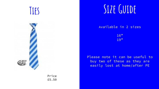

Price £5.50

### **Ties Size Guide**

Available in 2 sizes

16" 19"

Please note it can be useful to buy two of these as they are easily lost at home/after PE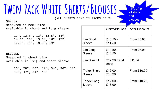## **Twin Pack White Shirts/Blouses**

(ALL SHIRTS COME IN PACKS OF 2)

### **Shirts**

Measured in neck size Available in short and long sleeve

> 12", 12.5", 13", 13.5", 14", 14.5", 15", 15.5", 16", 17", 17.5", 18", 18.5", 19"

### **BLOUSES**

Measured in chest size Available in long and short sleeve

> 26", 28", 30", 32", 34", 36", 38", 40", 42", 44", 46"

|                                     | <b>Shirts/Blouses</b>  | <b>After Discount</b> |
|-------------------------------------|------------------------|-----------------------|
| <b>Lim Short</b><br>Sleeve          | £10.50 -<br>£14.50     | <b>From £8.93</b>     |
| Lim Long<br>Sleeve                  | £10.50 -<br>£14.50     | <b>From £8.93</b>     |
| <b>Lim Slim Fit</b>                 | £12.99 (Shirt<br>only) | £11.04                |
| <b>Trutex Short</b><br>Sleeve       | £12.00 -<br>£16.99     | From £10.20           |
| <b>Trutex Long</b><br><b>Sleeve</b> | £12.00 -<br>£16.99     | From £10.20           |

15% off on all shirts

and blouses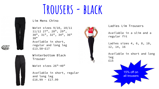## **Trousers - black**

Lim Mens Chino

Waist sizes 9/10, 10/11, 11/12 27", 28", 29", 30", 31", 32", 34", 36", 38" Available in short, regular and long leg £13.50-£17

Winterbottom Black Trouser

Waist sizes 26"-40"

Available in short, regular and long leg  $£16.99 - £17.99$ 



Ladies Lim Trousers

Available in a slim and a regular fit

Ladies sizes 4, 6, 8, 10, 12, 14, 16

Available in short and long leg £15 15% off on

all trousers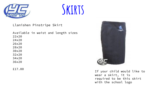



Llanishen Pinstripe Skirt

Available in waist and length sizes 22x20 24x20 26x20 28x20 30x20 32x20 34x20 36x20

£17.00



If your child would like to wear a skirt, it is required to be this skirt with the school logo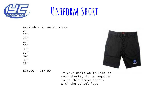

### **Uniform Short**

Available in waist sizes

| 26" |  |  |
|-----|--|--|
| 27" |  |  |
| 28" |  |  |
| 29" |  |  |
| 30" |  |  |
| 31" |  |  |
| 32" |  |  |
| 34" |  |  |
| 36" |  |  |
| 38" |  |  |
|     |  |  |



£15.00 - £17.00 If your child would like to wear shorts, it is required to be this these shorts with the school logo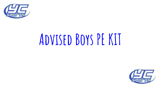

# **Advised Boys PE KIT**

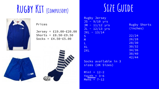### **Rugby Kit (Compulsory) Size Guide**

|  | Fur<br>品 |  |
|--|----------|--|
|  |          |  |
|  |          |  |

| D | r i ci | $\bullet$ |  |
|---|--------|-----------|--|
|   |        |           |  |

Jersey = £19.00-£20.00 Shorts =  $£8.50-E9.50$  $Socks = £4.50 - £5.00$ 



| Rugby Jersey     |                     |
|------------------|---------------------|
| $JS - 9/10 yrs$  |                     |
| $JM - 11/12$ yrs | <b>Rugby Shorts</b> |
| $JL - 12/13$ yrs | (inches)            |
| $JXL - 13/14$    |                     |
| S                | 22/24               |
| M                | 26/28               |
| L                | 28/30               |
| <b>XL</b>        | 30/32               |
| 2XL              | 34/36               |
|                  | 38/40               |
|                  | 42/44               |

Socks available in 3 sizes (UK Sizes)

 $Mini = 12-2$ Youth =  $3-6$  $Mens = 7-12$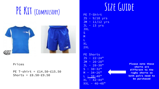## PE KIT (COMPULSORY)



### Prices

PE T-shirt = £14.50-£15.50 Shorts =  $£8.50-E9.50$ 

JS - 9/10 yrs  $JM - 11/12$  yrs  $JL - 13$  yrs JXL S M L XL 2XL

PE Shorts  $JS - 22-24"$  $JM - 26-28"$  $JL - 28-30"$  $S - 30 - 32"$  $M - 34 - 26"$  $L - 38 - 40"$  $XL - 42-44"$  $XXL - 46-48"$ 

**Please note these shorts are different to the rugby shorts so both pairs need to be purchased**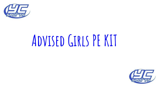

# **Advised Girls PE KIT**

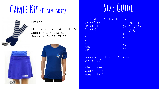### GAMES KIT (COMPULSORY) SIZE GUIDE



### Prices

PE T-shirt = £14.50-15.50 Skort = £15-£15.50  $Socks = £4.50 - £5.00$ 





| PE T-shirt (fitted) | Skort      |
|---------------------|------------|
| JS (9/10)           | JS (9/10)  |
| JM(11/12)           | JM(11/12)  |
| JL(13)              | JL(13)     |
| S                   | S          |
| M                   | M          |
|                     | L          |
| <b>XL</b>           | <b>XL</b>  |
| <b>XXL</b>          | <b>XXL</b> |
| <b>XXXL</b>         |            |

### Socks available in 3 sizes (UK Sizes)

 $Mini = 12-2$ Youth =  $3-6$  $Mens = 7-12$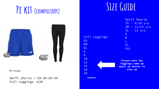## PE KIT (COMPULSORY) SIZE GUIDE



Swift shorts = £8.50-£9.50 Full Leggings =£20

Full Leggings

Swift Shorts JS - 9/10 yrs  $JM - 11/12$  yrs JL - 13 yrs S M L XL XXL

**Please note the leggings come up small so better to size up** Prices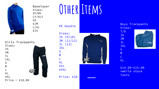

Sizes: SY/MY LY/XLY XS S/M L/XL £15

Girls Trackpants Sizes: YS YM YL YXL S<br>M<br>L XL XXL Price =  $£18.00$ 

## Baselayer **OTHER ITEMS**

PE Hoodie

Sizes: JS (9/10) JM (11/12) JL (13) JXL S<br>M<br>L XL XXL **XXXL** Price: £20



Boys Trackpants Sizes:

7/8 JS JM JL JXL

S<br>M<br>L

XL



£14.00-£15.00 \*while stock lasts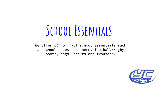## **School Essentials**

We offer 15% off all school essentials such as school shoes, trainers, football/rugby boots, bags, shirts and trousers.

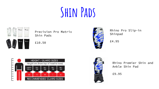## **Shin Pads**



Precision Pro Matrix Shin Pads

£10.50



Rhino Pro Slip-in Shinpad

£4.95





Rhino Premier Shin and Ankle Shin Pad

£9.95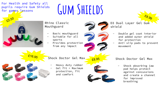For Health and Safety all pupils require Gum Shields for games lessons

 $£16.95$ 

£2.50

# **Gum Shields**

Rhino Classic Mouthguard

- Basic mouthguard
- Suitable for all sports
- Provides protection from any impact

Shock Doctor Gel Max

- 
- Heavy duty rubber
	- Gel  $fit =$  Maximum protection, fit and comfort

£8.95

D3 Dual Layer Gel Gum shield

Double gel coat interior and added outer shield for protection

£8.99

Anti slip pads to prevent movement

Shock Doctor Gel Max

Shock absorbing jaw pad helps protect against concussions and create a channel for improved breathing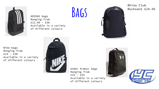

Ranging from £12.99 - £30 Available in a variety of different colours

ADIDAS bags **BAGS** 



Rhino Club Rucksack £24.95

Nike bags Ranging from  $£14 - £30$ Available in a variety of different colours



Under Armour bags Ranging from  $£25 - £35$ Available in a variety of different colours



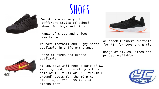

## **Shoes**

We stock a variety of different styles of school shoe, for boys and girls

Range of sizes and prices available

We have football and rugby boots available in different brands



We stock trainers suitable for PE, for boys and girls

Range of styles, sizes and prices available



Range of sizes and prices available

At LHS boys will need a pair of SG (soft ground) boots along with a pair of TF (turf) or FXG (flexible ground) boots for the 3G pitch Starting at £15 -150 (whilst stocks last)